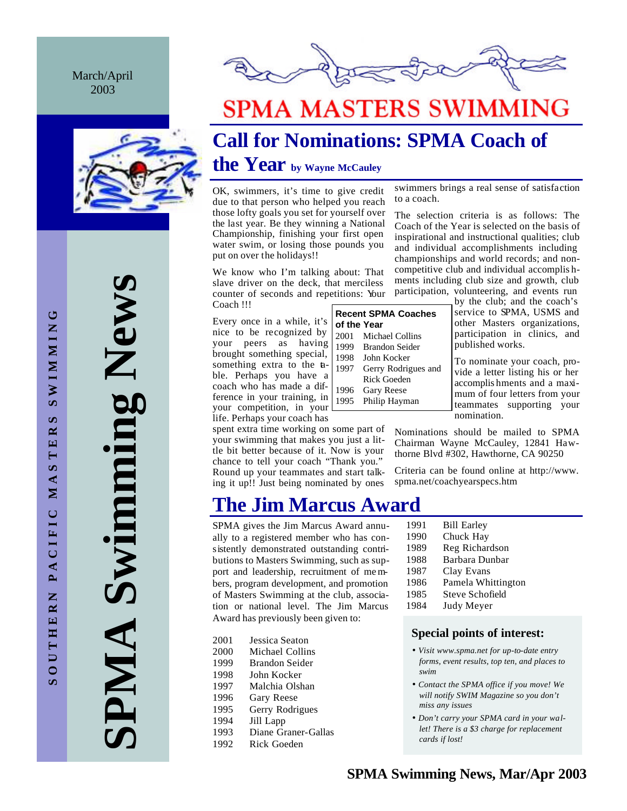#### March/April 2003



**SPMA Swimming News** Swimming New **PMA** 



# **SPMA MASTERS SWIMMING**

# **Call for Nominations: SPMA Coach of**

## **the Year by Wayne McCauley**

OK, swimmers, it's time to give credit due to that person who helped you reach those lofty goals you set for yourself over the last year. Be they winning a National Championship, finishing your first open water swim, or losing those pounds you put on over the holidays!!

We know who I'm talking about: That slave driver on the deck, that merciless counter of seconds and repetitions: Your Coach !!!

Every once in a while, it's nice to be recognized by your peers as having brought something special, something extra to the table. Perhaps you have a coach who has made a difference in your training, in your competition, in your life. Perhaps your coach has

spent extra time working on some part of your swimming that makes you just a little bit better because of it. Now is your chance to tell your coach "Thank you." Round up your teammates and start talking it up!! Just being nominated by ones

## **The Jim Marcus Award**

SPMA gives the Jim Marcus Award annually to a registered member who has consistently demonstrated outstanding contributions to Masters Swimming, such as support and leadership, recruitment of members, program development, and promotion of Masters Swimming at the club, association or national level. The Jim Marcus Award has previously been given to:

- 2001 Jessica Seaton 2000 Michael Collins
- 1999 Brandon Seider
- 1998 John Kocker
- 1997 Malchia Olshan
- 1996 Gary Reese
- 1995 Gerry Rodrigues
- 1994 Jill Lapp
- 1993 Diane Graner-Gallas
- 1992 Rick Goeden

| swimmers brings a real sense of satisfaction |  |  |  |
|----------------------------------------------|--|--|--|
| to a coach.                                  |  |  |  |
|                                              |  |  |  |

The selection criteria is as follows: The Coach of the Year is selected on the basis of inspirational and instructional qualities; club and individual accomplishments including championships and world records; and noncompetitive club and individual accomplis hments including club size and growth, club participation, volunteering, and events run

**Recent SPMA Coaches of the Year** 2001 Michael Collins 1999 Brandon Seider 1998 John Kocker 1997 Gerry Rodrigues and Rick Goeden 1996 Gary Reese 1995 Philip Hayman

by the club; and the coach's service to SPMA, USMS and other Masters organizations, participation in clinics, and published works.

To nominate your coach, provide a letter listing his or her accomplis hments and a maximum of four letters from your teammates supporting your nomination.

Nominations should be mailed to SPMA Chairman Wayne McCauley, 12841 Hawthorne Blvd #302, Hawthorne, CA 90250

Criteria can be found online at http://www. spma.net/coachyearspecs.htm

- 1991 Bill Earley 1990 Chuck Hay 1989 Reg Richardson 1988 Barbara Dunbar 1987 Clay Evans<br>1986 Pamela Whi Pamela Whittington 1985 Steve Schofield
- 1984 Judy Meyer

#### **Special points of interest:**

- *Visit www.spma.net for up-to-date entry forms, event results, top ten, and places to swim*
- *Contact the SPMA office if you move! We will notify SWIM Magazine so you don't miss any issues*
- *Don't carry your SPMA card in your wallet! There is a \$3 charge for replacement cards if lost!*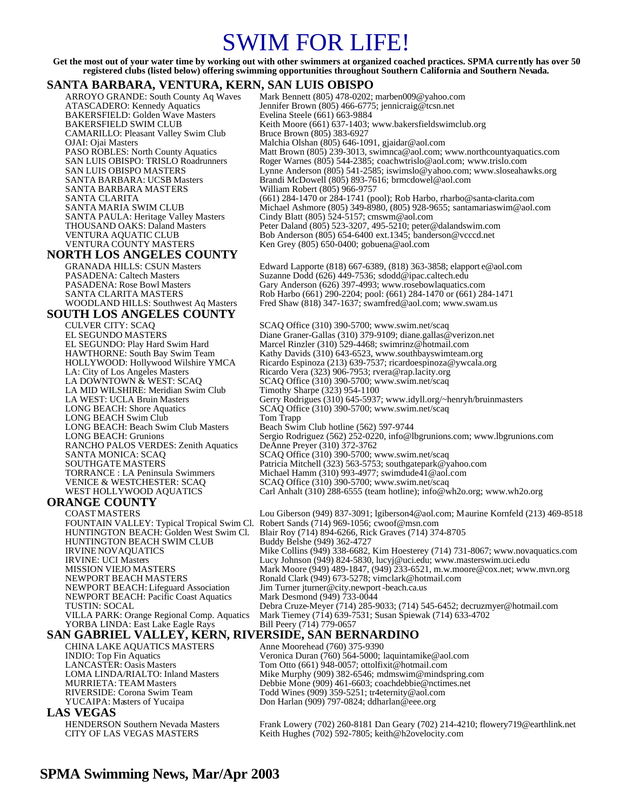## SWIM FOR LIFE!

**Get the most out of your water time by working out with other swimmers at organized coached practices. SPMA currently has over 50 registered clubs (listed below) offering swimming opportunities throughout Southern California and Southern Nevada.**

#### **SANTA BARBARA, VENTURA, KERN, SAN LUIS OBISPO**

BAKERSFIELD: Golden Wave Masters Evelina Steele (661) 663-9884<br>BAKERSFIELD SWIM CLUB Keith Moore (661) 637-1403; CAMARILLO: Pleasant Valley Swim Club<br>OJAI: Ojai Masters SANTA BARBARA MASTERS

#### **NORTH LOS ANGELES COUNTY**

## **SOUTH LOS ANGELES COUNTY**

LA MID WILSHIRE: Meridian Swim Club<br>LA WEST: UCLA Bruin Masters LONG BEACH Swim Club Tom Trapp<br>
LONG BEACH: Beach Swim Club Masters Beach Swim Club hotline (562) 597-9744 LONG BEACH: Beach Swim Club Masters RANCHO PALOS VERDES: Zenith Aquatics SANTA MONICA: SCAQ

#### **ORANGE COUNTY**

FOUNTAIN VALLEY: Typical Tropical Swim Cl. Robert Sands (714) 969-1056; cwoof@msn.com HUNTINGTON BEACH SWIM CLUB IRVINE NOVAQUATICS NEWPORT BEACH: Lifeguard Association Jim Turner jturner@city.newpor<br>NEWPORT BEACH: Pacific Coast Aquatics Mark Desmond (949) 733-0044 NEWPORT BEACH: Pacific Coast Aquatics<br>TUSTIN: SOCAL YORBA LINDA: East Lake Eagle Rays Bill Peery  $(714)$   $779-0657$ 

**SAN GABRIEL VALLEY, KERN, RIVERSIDE, SAN BERNARDINO**<br>CHINA LAKE AQUATICS MASTERS Anne Moorehead (760) 375-9390 CHINA LAKE AQUATICS MASTERS

#### **LAS VEGAS**

ARROYO GRANDE: South County Aq Waves Mark Bennett (805) 478-0202; marben009@yahoo.com<br>ATASCADERO: Kennedy Aquatics Mennifer Brown (805) 466-6775; jennicraig@tcsn.net ATASCADERO: Kennedy Aquatics Jennifer Brown (805) 466-6775; jennicraig@tcsn.net Keith Moore (661) 637-1403; www.bakersfieldswimclub.org<br>Bruce Brown (805) 383-6927 OJAI: Ojai Masters Malchia Olshan (805) 646-1091, gjaidar@aol.com PASO ROBLES: North County Aquatics Matt Brown (805) 239-3013, swimnca@aol.com; www.northcountyaquatics.com<br>SAN LUIS OBISPO: TRISLO Roadrunners Roger Warnes (805) 544-2385; coachwirislo@aol.com; www.trislo.com SAN LUIS OBISPO: TRISLO Roadrunners Roger Warnes (805) 544-2385; coachwtrislo@aol.com; www.trislo.com<br>SAN LUIS OBISPO MASTERS Lynne Anderson (805) 541-2585; iswimslo@yahoo.com; www.sloseaha SAN LUIS OBISPO MASTERS Lynne Anderson (805) 541-2585; iswimslo@yahoo.com; www.sloseahawks.org<br>SANTA BARBARA: UCSB Masters Brandi McDowell (805) 893-7616; brmcdowel@aol.com Brandi McDowell (805) 893-7616; brmcdowel@aol.com<br>William Robert (805) 966-9757 SANTA CLARITA (661) 284-1470 or 284-1741 (pool); Rob Harbo, rharbo@santa-clarita.com<br>SANTA MARIA SWIM CLUB Michael Ashmore (805) 349-8980, (805) 928-9655; santamariaswim@aol. SANTA MARIA SWIM CLUB<br>SANTA PAULA: Heritage Valley Masters Cindy Blatt (805) 524-5157; cmswm@aol.com<br>Cindy Blatt (805) 524-5157; cmswm@aol.com Cindy Blatt (805) 524-5157; cmswm@aol.com THOUSAND OAKS: Daland Masters Peter Daland (805) 523-3207, 495-5210; peter @dalandswim.com<br>
Peter Daland (805) 523-3207, 495-5210; peter @dalandswim.com<br>
Peter Daland (805) 523-3207, 495-5210; peter @dalandswim.com VENTURA AQUATIC CLUB Bob Anderson (805) 654-6400 ext.1345; banderson@vcccd.net<br>VENTURA COUNTY MASTERS Ken Grey (805) 650-0400; gobuena@aol.com Ken Grey (805) 650-0400; gobuena@aol.com

GRANADA HILLS: CSUN Masters Edward Lapporte (818) 667-6389, (818) 363-3858; elapport e@aol.com<br>
PASADENA: Caltech Masters Suzanne Dodd (626) 449-7536; sdodd@ipac.caltech.edu PASADENA: Caltech Masters Suzanne Dodd (626) 449-7536; sdodd@ipac.caltech.edu<br>PASADENA: Rose Bowl Masters Gary Anderson (626) 397-4993; www.rosebowlaquatics. PASADENA: Rose Bowl Masters<br>
PASADENA: Rose Bowl Masters Gary Anderson (626) 397-4993; www.rosebowlaquatics.com<br>
SANTA CLARITA MASTERS Rob Harbo (661) 290-2204; pool: (661) 284-1470 or (661) 28 SANTA CLARITA MASTERS Rob Harbo (661) 290-2204; pool: (661) 284-1470 or (661) 284-1471<br>WOODLAND HILLS: Southwest Aq Masters Fred Shaw (818) 347-1637; swamfred@aol.com; www.swam.us Fred Shaw (818) 347-1637; swamfred@aol.com; www.swam.us

CULVER CITY: SCAQ SCAQ Office (310) 390-5700; www.swim.net/scaq<br>EL SEGUNDO MASTERS Diane Graner-Gallas (310) 379-9109; diane.gallas @ EL SEGUNDO MASTERS Diane Graner-Gallas (310) 379-9109; diane.gallas@verizon.net<br>EL SEGUNDO: Play Hard Swim Hard Marcel Rinzler (310) 529-4468; swimrinz@hotmail.com EL SEGUNDO: Play Hard Swim Hard Marcel Rinzler (310) 529-4468; swimrinz@hotmail.com<br>HAWTHORNE: South Bay Swim Team Kathy Davids (310) 643-6523, www.southbayswimteam. HAWTHORNE: South Bay Swim Team Kathy Davids (310) 643-6523, www.southbayswimteam.org<br>HOLLYWOOD: Hollywood Wilshire YMCA Ricardo Espinoza (213) 639-7537; ricardoespinoza@ywcala. Ricardo Espinoza (213) 639-7537; ricardoespinoza@ywcala.org LA: City of Los Angeles Masters Ricardo Vera (323) 906-7953; rvera@rap.lacity.org<br>LA DOWNTOWN & WEST: SCAQ SCAQ Office (310) 390-5700; www.swim.net/scaq SCAQ Office (310) 390-5700; www.swim.net/scaq<br>Timothy Sharpe (323) 954-1100 LA WEST: UCLA Bruin Masters Gerry Rodrigues (310) 645-5937; www.idyll.org/~henryh/bruinmasters LONG BEACH: Shore Aquatics SCAO Office (310) 390-5700: www.swim.net/scaq SCAQ Office (310) 390-5700; www.swim.net/scaq LONG BEACH: Grunions Sergio Rodriguez (562) 252-0220, info@lbgrunions.com; www.lbgrunions.com<br>RANCHO PALOS VERDES: Zenith Aquatics DeAnne Preyer (310) 372-3762 SCAQ Office (310) 390-5700; www.swim.net/scaq SOUTHGATE MASTERS<br>
TORRANCE : LA Peninsula Swimmers Michael Hamm (310) 993-4977; swimdude41@aol.com TORRANCE : LA Peninsula Swimmers Michael Hamm (310) 993-4977; swimdude41 @aol.com<br>VENICE & WESTCHESTER: SCAQ SCAQ Office (310) 390-5700; www.swim.net/scaq VENICE & WESTCHESTER: SCAQ SCAQ Office (310) 390-5700; www.swim.net/scaq<br>WEST HOLLYWOOD AQUATICS Carl Anhalt (310) 288-6555 (team hotline); info@v Carl Anhalt (310) 288-6555 (team hotline); info@wh2o.org; www.wh2o.org

COAST MASTERS Lou Giberson (949) 837-3091; lgiberson4@aol.com; Maurine Kornfeld (213) 469-8518 Blair Roy (714) 894-6266, Rick Graves (714) 374-8705<br>Buddy Belshe (949) 362-4727 IRVINE NOVAQUATICS Mike Collins (949) 338-6682, Kim Hoesterey (714) 731-8067; www.novaquatics.com<br>IRVINE: UCI Masters Lucy Johnson (949) 824-5830, lucyi@uci.edu: www.masterswim.uci.edu IRVINE: UCI Masters Lucy Johnson (949) 824-5830, lucyj@uci.edu; www.masterswim.uci.edu<br>MISSION VIEJO MASTERS Mark Moore (949) 489-1847, (949) 233-6521, m.w.moore@cox.net; www MISSION VIEJO MASTERS Mark Moore (949) 489-1847, (949) 233-6521, m.w.moore@cox.net; www.mvn.org<br>NEWPORT BEACH MASTERS Ronald Clark (949) 673-5278; vimclark @hotmail.com Ronald Clark (949) 673-5278; vimclark @hotmail.com<br>Jim Turner jturner@city.newport-beach.ca.us TUSTIN: SOCAL Debra Cruze-Meyer (714) 285-9033; (714) 545-6452; decruzmyer@hotmail.com VILLA PARK: Orange Regional Comp. Aquatics Mark Tiemey (714) 639-7531; Susan Spiewak (714) 633-4702

INDIO: Top Fin Aquatics Veronica Duran (760) 564-5000; laquintamike@aol.com LANCASTER: Oasis Masters Tom Otto (661) 948-0057; ottolfixit@hotmail.com<br>LOMA LINDA/RIALTO: Inland Masters Mike Murphy (909) 382-6546; mdmswim@minds LOMA LINDA/RIALTO: Inland Masters Mike Murphy (909) 382-6546; mdmswim@mindspring.com<br>MURRIETA: TEAM Masters Debbie Mone (909) 461-6603; coachdebbie@nctimes.net MURRIETA: TEAM Masters Debbie Mone (909) 461-6603; coachdebbie@nctimes.net<br>RIVERSIDE: Corona Swim Team Todd Wines (909) 359-5251; tr4eternity@aol.com RIVERSIDE: Corona Swim Team Todd Wines (909) 359-5251; tr4eternity@aol.com<br>YUCAIPA: Masters of Yucaipa Don Harlan (909) 797-0824; ddharlan@eee.org Don Harlan (909) 797-0824; ddharlan@eee.org

HENDERSON Southern Nevada Masters Frank Lowery (702) 260-8181 Dan Geary (702) 214-4210; flowery719@earthlink.net<br>CITY OF LAS VEGAS MASTERS Keith Hughes (702) 592-7805; keith@h2ovelocity.com Keith Hughes (702) 592-7805; keith@h2ovelocity.com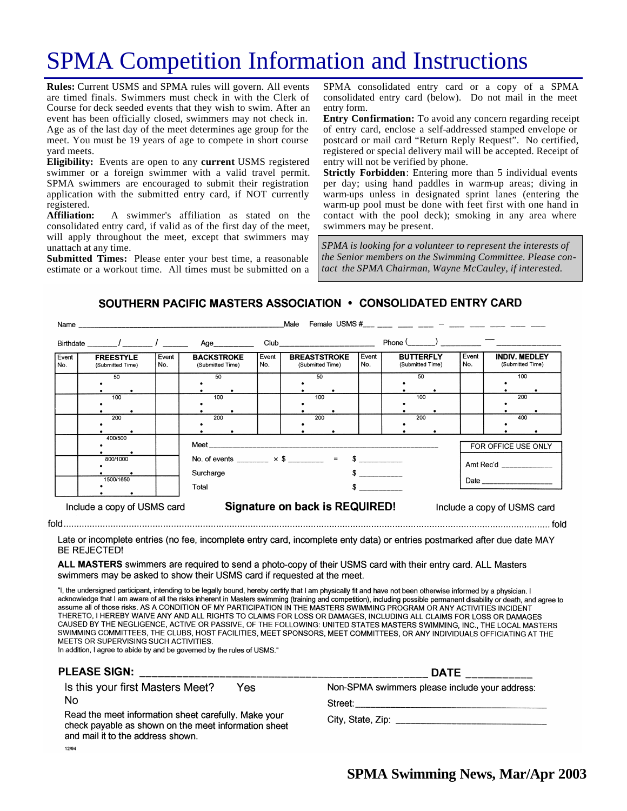# SPMA Competition Information and Instructions

**Rules:** Current USMS and SPMA rules will govern. All events are timed finals. Swimmers must check in with the Clerk of Course for deck seeded events that they wish to swim. After an event has been officially closed, swimmers may not check in. Age as of the last day of the meet determines age group for the meet. You must be 19 years of age to compete in short course yard meets.

**Eligibility:** Events are open to any **current** USMS registered swimmer or a foreign swimmer with a valid travel permit. SPMA swimmers are encouraged to submit their registration application with the submitted entry card, if NOT currently registered.

**Affiliation:** A swimmer's affiliation as stated on the consolidated entry card, if valid as of the first day of the meet, will apply throughout the meet, except that swimmers may unattach at any time.

**Submitted Times:** Please enter your best time, a reasonable estimate or a workout time. All times must be submitted on a SPMA consolidated entry card or a copy of a SPMA consolidated entry card (below). Do not mail in the meet entry form.

**Entry Confirmation:** To avoid any concern regarding receipt of entry card, enclose a self-addressed stamped envelope or postcard or mail card "Return Reply Request". No certified, registered or special delivery mail will be accepted. Receipt of entry will not be verified by phone.

**Strictly Forbidden**: Entering more than 5 individual events per day; using hand paddles in warm-up areas; diving in warm-ups unless in designated sprint lanes (entering the warm-up pool must be done with feet first with one hand in contact with the pool deck); smoking in any area where swimmers may be present.

*SPMA is looking for a volunteer to represent the interests of the Senior members on the Swimming Committee. Please contact the SPMA Chairman, Wayne McCauley, if interested.*

#### SOUTHERN PACIFIC MASTERS ASSOCIATION . CONSOLIDATED ENTRY CARD

|              | Name and the contract of the contract of the contract of the contract of the contract of the contract of the contract of the contract of the contract of the contract of the contract of the contract of the contract of the c |              |                                                                     |              | Male                                                                                                                                                                                                                           |               |                                      |              |                                          |
|--------------|--------------------------------------------------------------------------------------------------------------------------------------------------------------------------------------------------------------------------------|--------------|---------------------------------------------------------------------|--------------|--------------------------------------------------------------------------------------------------------------------------------------------------------------------------------------------------------------------------------|---------------|--------------------------------------|--------------|------------------------------------------|
|              | Birthdate / /                                                                                                                                                                                                                  |              | Age                                                                 |              | Club and the contract of the contract of the contract of the contract of the contract of the contract of the contract of the contract of the contract of the contract of the contract of the contract of the contract of the c |               | $Phone($ ) —                         |              |                                          |
| Event<br>No. | <b>FREESTYLE</b><br>(Submitted Time)                                                                                                                                                                                           | Event<br>No. | <b>BACKSTROKE</b><br>(Submitted Time)                               | Event<br>No. | <b>BREASTSTROKE</b><br>(Submitted Time)                                                                                                                                                                                        | Event<br>No.  | <b>BUTTERFLY</b><br>(Submitted Time) | Event<br>No. | <b>INDIV. MEDLEY</b><br>(Submitted Time) |
|              | 50                                                                                                                                                                                                                             |              | 50                                                                  |              | 50                                                                                                                                                                                                                             |               | 50                                   |              | 100                                      |
|              | 100                                                                                                                                                                                                                            |              | 100                                                                 |              | 100                                                                                                                                                                                                                            |               | 100                                  |              | 200                                      |
|              | 200                                                                                                                                                                                                                            |              | 200                                                                 |              | 200                                                                                                                                                                                                                            |               | 200                                  |              | 400                                      |
|              | 400/500                                                                                                                                                                                                                        |              |                                                                     |              | Meet the contract of the contract of the contract of the contract of the contract of the contract of the contract of the contract of the contract of the contract of the contract of the contract of the contract of the contr |               |                                      |              | FOR OFFICE USE ONLY                      |
|              | 800/1000                                                                                                                                                                                                                       |              | No. of events $\times$ \$ = \$<br>Amt Rec'd __________<br>Surcharge |              |                                                                                                                                                                                                                                |               |                                      |              |                                          |
|              | 1500/1650                                                                                                                                                                                                                      |              | Total                                                               |              |                                                                                                                                                                                                                                | $\sim$ $\sim$ |                                      |              |                                          |
|              | Include a copy of USMS card                                                                                                                                                                                                    |              |                                                                     |              | Signature on back is REQUIRED!                                                                                                                                                                                                 |               |                                      |              | Include a copy of USMS card              |

Late or incomplete entries (no fee, incomplete entry card, incomplete enty data) or entries postmarked after due date MAY

**BE REJECTED!** 

ALL MASTERS swimmers are required to send a photo-copy of their USMS card with their entry card. ALL Masters swimmers may be asked to show their USMS card if requested at the meet.

"I, the undersigned participant, intending to be legally bound, hereby certify that I am physically fit and have not been otherwise informed by a physician. I acknowledge that I am aware of all the risks inherent in Masters swimming (training and competition), including possible permanent disability or death, and agree to assume all of those risks. AS A CONDITION OF MY PARTICIPATION IN THE MASTERS SWIMMING PROGRAM OR ANY ACTIVITIES INCIDENT THERETO, I HEREBY WAIVE ANY AND ALL RIGHTS TO CLAIMS FOR LOSS OR DAMAGES, INCLUDING ALL CLAIMS FOR LOSS OR DAMAGES CAUSED BY THE NEGLIGENCE, ACTIVE OR PASSIVE, OF THE FOLLOWING: UNITED STATES MASTERS SWIMMING, INC., THE LOCAL MASTERS SWIMMING COMMITTEES, THE CLUBS, HOST FACILITIES, MEET SPONSORS, MEET COMMITTEES, OR ANY INDIVIDUALS OFFICIATING AT THE MEETS OR SUPERVISING SUCH ACTIVITIES.

In addition, I agree to abide by and be governed by the rules of USMS."

| <b>PLEASE SIGN:</b>                                                                                                                               | <b>DATE</b>                                                                                                    |  |
|---------------------------------------------------------------------------------------------------------------------------------------------------|----------------------------------------------------------------------------------------------------------------|--|
| Is this your first Masters Meet?<br>Yes                                                                                                           | Non-SPMA swimmers please include your address:                                                                 |  |
| No                                                                                                                                                | Street:                                                                                                        |  |
| Read the meet information sheet carefully. Make your<br>check payable as shown on the meet information sheet<br>and mail it to the address shown. | City, State, Zip: Electric State of State State State State State State State State State State State State St |  |
| 12/94                                                                                                                                             |                                                                                                                |  |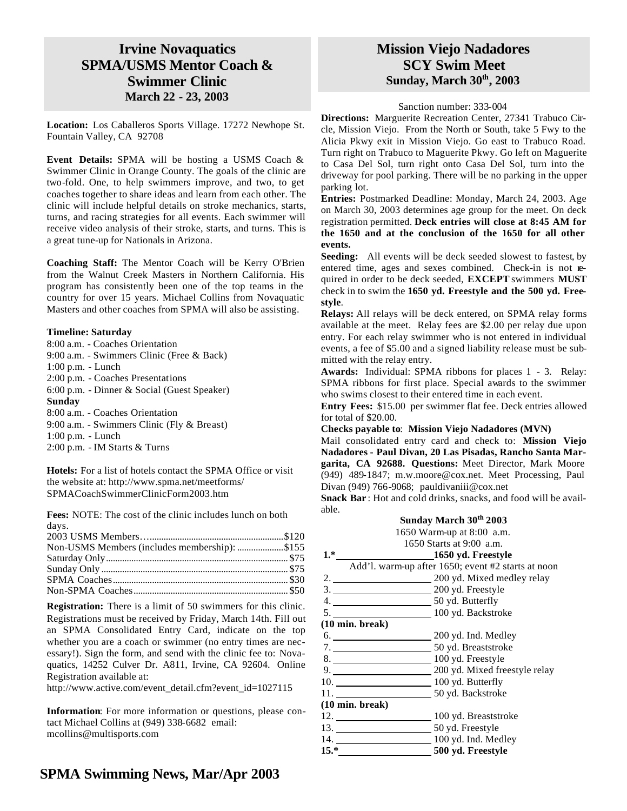### **Irvine Novaquatics SPMA/USMS Mentor Coach & Swimmer Clinic March 22 - 23, 2003**

**Location:** Los Caballeros Sports Village. 17272 Newhope St. Fountain Valley, CA 92708

**Event Details:** SPMA will be hosting a USMS Coach & Swimmer Clinic in Orange County. The goals of the clinic are two-fold. One, to help swimmers improve, and two, to get coaches together to share ideas and learn from each other. The clinic will include helpful details on stroke mechanics, starts, turns, and racing strategies for all events. Each swimmer will receive video analysis of their stroke, starts, and turns. This is a great tune-up for Nationals in Arizona.

**Coaching Staff:** The Mentor Coach will be Kerry O'Brien from the Walnut Creek Masters in Northern California. His program has consistently been one of the top teams in the country for over 15 years. Michael Collins from Novaquatic Masters and other coaches from SPMA will also be assisting.

#### **Timeline: Saturday**

| 8:00 a.m. - Coaches Orientation             |
|---------------------------------------------|
| 9:00 a.m. - Swimmers Clinic (Free & Back)   |
| $1:00$ p.m. - Lunch                         |
| 2:00 p.m. - Coaches Presentations           |
| 6:00 p.m. - Dinner & Social (Guest Speaker) |
| Sunday                                      |
| 8:00 a.m. - Coaches Orientation             |
| 9:00 a.m. - Swimmers Clinic (Fly & Breast)  |
|                                             |
| $1:00$ p.m. - Lunch                         |

**Hotels:** For a list of hotels contact the SPMA Office or visit the website at: http://www.spma.net/meetforms/ SPMACoachSwimmerClinicForm2003.htm

**Fees:** NOTE: The cost of the clinic includes lunch on both days.

| Non-USMS Members (includes membership): \$155 |  |
|-----------------------------------------------|--|
|                                               |  |
|                                               |  |
|                                               |  |
|                                               |  |

**Registration:** There is a limit of 50 swimmers for this clinic. Registrations must be received by Friday, March 14th. Fill out an SPMA Consolidated Entry Card, indicate on the top whether you are a coach or swimmer (no entry times are necessary!). Sign the form, and send with the clinic fee to: Novaquatics, 14252 Culver Dr. A811, Irvine, CA 92604. Online Registration available at:

http://www.active.com/event\_detail.cfm?event\_id=1027115

**Information**: For more information or questions, please contact Michael Collins at (949) 338-6682 email: mcollins@multisports.com

### **Mission Viejo Nadadores SCY Swim Meet Sunday, March 30th, 2003**

#### Sanction number: 333-004

**Directions:** Marguerite Recreation Center, 27341 Trabuco Circle, Mission Viejo. From the North or South, take 5 Fwy to the Alicia Pkwy exit in Mission Viejo. Go east to Trabuco Road. Turn right on Trabuco to Maguerite Pkwy. Go left on Maguerite to Casa Del Sol, turn right onto Casa Del Sol, turn into the driveway for pool parking. There will be no parking in the upper parking lot.

**Entries:** Postmarked Deadline: Monday, March 24, 2003. Age on March 30, 2003 determines age group for the meet. On deck registration permitted. **Deck entries will close at 8:45 AM for the 1650 and at the conclusion of the 1650 for all other events.**

**Seeding:** All events will be deck seeded slowest to fastest, by entered time, ages and sexes combined. Check-in is not required in order to be deck seeded, **EXCEPT** swimmers **MUST** check in to swim the **1650 yd. Freestyle and the 500 yd. Freestyle**.

**Relays:** All relays will be deck entered, on SPMA relay forms available at the meet. Relay fees are \$2.00 per relay due upon entry. For each relay swimmer who is not entered in individual events, a fee of \$5.00 and a signed liability release must be submitted with the relay entry.

**Awards:** Individual: SPMA ribbons for places 1 - 3. Relay: SPMA ribbons for first place. Special awards to the swimmer who swims closest to their entered time in each event.

**Entry Fees:** \$15.00 per swimmer flat fee. Deck entries allowed for total of \$20.00.

**Checks payable to**: **Mission Viejo Nadadores (MVN)**

Mail consolidated entry card and check to: **Mission Viejo Nadadores - Paul Divan, 20 Las Pisadas, Rancho Santa Margarita, CA 92688. Questions:** Meet Director, Mark Moore (949) 489-1847; m.w.moore@cox.net. Meet Processing, Paul Divan (949) 766-9068; pauldivaniii@cox.net

**Snack Bar**: Hot and cold drinks, snacks, and food will be available.

| Sunday March 30 <sup>th</sup> 2003 |  |  |  |
|------------------------------------|--|--|--|
|------------------------------------|--|--|--|

1650 Warm-up at 8:00 a.m.

|      | 1650 Starts at 9:00 a.m. |
|------|--------------------------|
| $1*$ | 1650 vd. Freestyle       |

|                           | <u>2000</u> jui 21 cest, 10                        |
|---------------------------|----------------------------------------------------|
|                           | Add'l. warm-up after 1650; event #2 starts at noon |
|                           | 2. 200 yd. Mixed medley relay                      |
|                           | 3. 200 yd. Freestyle                               |
|                           |                                                    |
|                           |                                                    |
| $(10 \text{ min. break})$ |                                                    |
|                           | 6. 200 yd. Ind. Medley                             |
|                           |                                                    |
|                           | 8. 100 yd. Freestyle                               |
|                           | 9. 200 yd. Mixed freestyle relay                   |
|                           | 10. 100 yd. Butterfly                              |
|                           |                                                    |
| $(10 \text{ min. break})$ |                                                    |
|                           | 12. 100 yd. Breaststroke                           |
|                           | _50 yd. Freestyle                                  |
| 14.                       | 100 yd. Ind. Medley                                |
|                           | 500 yd. Freestyle                                  |
|                           |                                                    |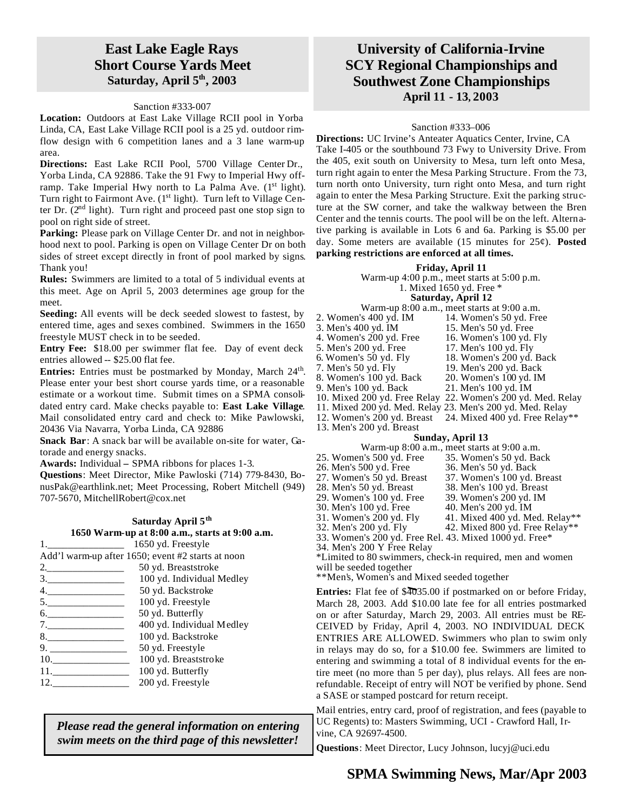### **East Lake Eagle Rays Short Course Yards Meet Saturday, April 5th, 2003**

#### Sanction #333-007

**Location:** Outdoors at East Lake Village RCII pool in Yorba Linda, CA, East Lake Village RCII pool is a 25 yd. outdoor rimflow design with 6 competition lanes and a 3 lane warm-up area.

**Directions:** East Lake RCII Pool, 5700 Village Center Dr., Yorba Linda, CA 92886. Take the 91 Fwy to Imperial Hwy offramp. Take Imperial Hwy north to La Palma Ave.  $(1<sup>st</sup> light)$ . Turn right to Fairmont Ave. (1<sup>st</sup> light). Turn left to Village Center Dr.  $(2<sup>nd</sup>$  light). Turn right and proceed past one stop sign to pool on right side of street.

Parking: Please park on Village Center Dr. and not in neighborhood next to pool. Parking is open on Village Center Dr on both sides of street except directly in front of pool marked by signs. Thank you!

**Rules:** Swimmers are limited to a total of 5 individual events at this meet. Age on April 5, 2003 determines age group for the meet.

**Seeding:** All events will be deck seeded slowest to fastest, by entered time, ages and sexes combined. Swimmers in the 1650 freestyle MUST check in to be seeded.

**Entry Fee:** \$18.00 per swimmer flat fee. Day of event deck entries allowed -- \$25.00 flat fee.

Entries: Entries must be postmarked by Monday, March 24<sup>th</sup>. Please enter your best short course yards time, or a reasonable estimate or a workout time. Submit times on a SPMA consolidated entry card. Make checks payable to: **East Lake Village**. Mail consolidated entry card and check to: Mike Pawlowski, 20436 Via Navarra, Yorba Linda, CA 92886

**Snack Bar**: A snack bar will be available on-site for water, Gatorade and energy snacks.

**Awards:** Individual **–** SPMA ribbons for places 1-3.

**Questions**: Meet Director, Mike Pawloski (714) 779-8430, BonusPak@earthlink.net; Meet Processing, Robert Mitchell (949) 707-5670, MitchellRobert@cox.net

|    | Saturday April 5 <sup>th</sup>                    |
|----|---------------------------------------------------|
|    | 1650 Warm-up at 8:00 a.m., starts at 9:00 a.m.    |
|    | 1650 yd. Freestyle                                |
|    | Add'l warm-up after 1650; event #2 starts at noon |
|    | 50 yd. Breaststroke                               |
| 3. | 100 yd. Individual Medley                         |
|    |                                                   |

| 4   | 50 yd. Backstroke         |
|-----|---------------------------|
| 5   | 100 yd. Freestyle         |
| б.  | 50 yd. Butterfly          |
| 7   | 400 yd. Individual Medley |
| 8.  | 100 yd. Backstroke        |
| 9   | 50 yd. Freestyle          |
| 10. | 100 yd. Breaststroke      |
|     | 100 yd. Butterfly         |

12. 200 yd. Freestyle

*Please read the general information on entering swim meets on the third page of this newsletter!*

### **University of California-Irvine SCY Regional Championships and Southwest Zone Championships April 11 - 13, 2003**

#### Sanction #333–006

**Directions:** UC Irvine's Anteater Aquatics Center, Irvine, CA Take I-405 or the southbound 73 Fwy to University Drive. From the 405, exit south on University to Mesa, turn left onto Mesa, turn right again to enter the Mesa Parking Structure. From the 73, turn north onto University, turn right onto Mesa, and turn right again to enter the Mesa Parking Structure. Exit the parking structure at the SW corner, and take the walkway between the Bren Center and the tennis courts. The pool will be on the left. Alternative parking is available in Lots 6 and 6a. Parking is \$5.00 per day. Some meters are available (15 minutes for 25¢). **Posted parking restrictions are enforced at all times.**

#### **Friday, April 11**

Warm-up 4:00 p.m., meet starts at 5:00 p.m.

#### 1. Mixed 1650 yd. Free \* **Saturday, April 12**

- Warm-up 8:00 a.m., meet starts at 9:00 a.m.<br>2. Women's 400 yd. IM 14. Women's 50 yd. Fre 2. Women's 400 yd. IM 14. Women's 50 yd. Free<br>
3. Men's 400 yd. IM 15. Men's 50 yd. Free
	-
- 15. Men's 50 yd. Free<br>16. Women's 100 yd. Fly 4. Women's  $200$  yd. Free
	-
- 5. Men's 200 yd. Free 17. Men's 100 yd. Fly<br>6. Women's 50 yd. Fly 18. Women's 200 yd.
- 6. Women's 50 yd. Fly 18. Women's 200 yd. Back
- -
- 8. Women's 100 yd. Back 20. Women's 100 yd. IM 9. Men's 100 yd. Back
- 10. Mixed 200 yd. Free Relay 22. Women's 200 yd. Med. Relay
- 11. Mixed 200 yd. Med. Relay 23. Men's 200 yd. Med. Relay
- 12. Women's 200 yd. Breast 24. Mixed 400 yd. Free Relay\*\*
- 13. Men's 200 yd. Breast

|  | Warm-up 8:00 a.m., meet starts at 9:00 a.m. |
|--|---------------------------------------------|
|--|---------------------------------------------|

- 25. Women's 500 yd. Free 35. Women's 50 yd. Back<br>26. Men's 500 yd. Free 36. Men's 50 yd. Back
- 26. Men's 500 yd. Free<br>27. Women's 50 yd. Breast
	- 37. Women's 100 yd. Breast

19. Men's 200 yd. Back

- 
- 28. Men's 50 yd. Breast 38. Men's 100 yd. Breast
- 29. Women's 100 yd. Free 39. Women's 200 yd. IM
	-
- 30. Men's 100 yd. Free 40. Men's 200 yd. IM
- 31. Women's 200 yd. Fly  $41.$  Mixed 400 yd. Med. Relay\*\*<br>32. Men's 200 yd. Fly  $42.$  Mixed 800 yd. Free Relay\*\* 42. Mixed 800 yd. Free Relay\*\*
- 
- 33. Women's 200 yd. Free Rel. 43. Mixed 1000 yd. Free\*
- 34. Men's 200 Y Free Relay

\*Limited to 80 swimmers, check-in required, men and women will be seeded together

\*\*Men's, Women's and Mixed seeded together

**Entries:** Flat fee of \$4035.00 if postmarked on or before Friday, March 28, 2003. Add \$10.00 late fee for all entries postmarked on or after Saturday, March 29, 2003. All entries must be RE-CEIVED by Friday, April 4, 2003. NO INDIVIDUAL DECK ENTRIES ARE ALLOWED. Swimmers who plan to swim only in relays may do so, for a \$10.00 fee. Swimmers are limited to entering and swimming a total of 8 individual events for the entire meet (no more than 5 per day), plus relays. All fees are nonrefundable. Receipt of entry will NOT be verified by phone. Send a SASE or stamped postcard for return receipt.

Mail entries, entry card, proof of registration, and fees (payable to UC Regents) to: Masters Swimming, UCI - Crawford Hall, Irvine, CA 92697-4500.

**Questions**: Meet Director, Lucy Johnson, lucyj@uci.edu

- 
- **Sunday, April 13**
-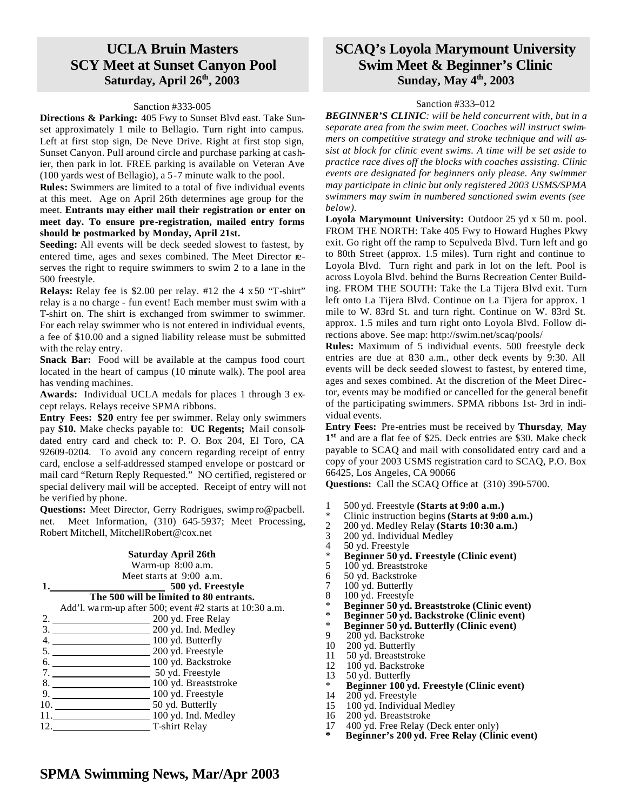### **UCLA Bruin Masters SCY Meet at Sunset Canyon Pool Saturday, April 26th, 2003**

#### Sanction #333-005

**Directions & Parking:** 405 Fwy to Sunset Blvd east. Take Sunset approximately 1 mile to Bellagio. Turn right into campus. Left at first stop sign, De Neve Drive. Right at first stop sign, Sunset Canyon. Pull around circle and purchase parking at cashier, then park in lot. FREE parking is available on Veteran Ave (100 yards west of Bellagio), a 5-7 minute walk to the pool.

**Rules:** Swimmers are limited to a total of five individual events at this meet. Age on April 26th determines age group for the meet. **Entrants may either mail their registration or enter on meet day. To ensure pre-registration, mailed entry forms should be postmarked by Monday, April 21st.**

**Seeding:** All events will be deck seeded slowest to fastest, by entered time, ages and sexes combined. The Meet Director reserves the right to require swimmers to swim 2 to a lane in the 500 freestyle.

**Relays:** Relay fee is \$2.00 per relay. #12 the 4 x 50 "T-shirt" relay is a no charge - fun event! Each member must swim with a T-shirt on. The shirt is exchanged from swimmer to swimmer. For each relay swimmer who is not entered in individual events, a fee of \$10.00 and a signed liability release must be submitted with the relay entry.

**Snack Bar:** Food will be available at the campus food court located in the heart of campus (10 minute walk). The pool area has vending machines.

**Awards:** Individual UCLA medals for places 1 through 3 except relays. Relays receive SPMA ribbons.

**Entry Fees: \$20** entry fee per swimmer. Relay only swimmers pay **\$10.** Make checks payable to: **UC Regents;** Mail consolidated entry card and check to: P. O. Box 204, El Toro, CA 92609-0204. To avoid any concern regarding receipt of entry card, enclose a self-addressed stamped envelope or postcard or mail card "Return Reply Requested." NO certified, registered or special delivery mail will be accepted. Receipt of entry will not be verified by phone.

**Questions:** Meet Director, Gerry Rodrigues, swimp ro@pacbell. net. Meet Information, (310) 645-5937; Meet Processing, Robert Mitchell, MitchellRobert@cox.net

| Saturday April 26th                                      |
|----------------------------------------------------------|
| Warm-up 8:00 a.m.                                        |
| Meet starts at $9:00$ a.m.                               |
| 500 yd. Freestyle                                        |
| The 500 will be limited to 80 entrants.                  |
| Add'l. wa rm-up after 500; event #2 starts at 10:30 a.m. |
| 200 yd. Free Relay                                       |
| 3. 200 yd. Ind. Medley                                   |
| $\equiv$ 100 yd. Butterfly<br>4. $\qquad \qquad$         |
| 5. 200 yd. Freestyle                                     |
| 6. 100 yd. Backstroke                                    |
| 50 yd. Freestyle<br>7. $\qquad \qquad$                   |
| 100 yd. Breaststroke                                     |
| $\equiv$ 100 yd. Freestyle<br>9.                         |
| $\equiv$ 50 yd. Butterfly<br>10.                         |
| $\equiv$ 100 yd. Ind. Medley                             |
| T-shirt Relay<br>12.                                     |
|                                                          |

### **SCAQ's Loyola Marymount University Swim Meet & Beginner's Clinic Sunday, May 4 th, 2003**

#### Sanction #333–012

*BEGINNER'S CLINIC: will be held concurrent with, but in a separate area from the swim meet. Coaches will instruct swimmers on competitive strategy and stroke technique and will assist at block for clinic event swims. A time will be set aside to practice race dives off the blocks with coaches assisting. Clinic events are designated for beginners only please. Any swimmer may participate in clinic but only registered 2003 USMS/SPMA swimmers may swim in numbered sanctioned swim events (see below).*

**Loyola Marymount University:** Outdoor 25 yd x 50 m. pool. FROM THE NORTH: Take 405 Fwy to Howard Hughes Pkwy exit. Go right off the ramp to Sepulveda Blvd. Turn left and go to 80th Street (approx. 1.5 miles). Turn right and continue to Loyola Blvd. Turn right and park in lot on the left. Pool is across Loyola Blvd. behind the Burns Recreation Center Building. FROM THE SOUTH: Take the La Tijera Blvd exit. Turn left onto La Tijera Blvd. Continue on La Tijera for approx. 1 mile to W. 83rd St. and turn right. Continue on W. 83rd St. approx. 1.5 miles and turn right onto Loyola Blvd. Follow directions above. See map: http://swim.net/scaq/pools/

**Rules:** Maximum of 5 individual events. 500 freestyle deck entries are due at 830 a.m., other deck events by 9:30. All events will be deck seeded slowest to fastest, by entered time, ages and sexes combined. At the discretion of the Meet Director, events may be modified or cancelled for the general benefit of the participating swimmers. SPMA ribbons 1st- 3rd in individual events.

**Entry Fees:** Pre-entries must be received by **Thursday**, **May 1 st** and are a flat fee of \$25. Deck entries are \$30. Make check payable to SCAQ and mail with consolidated entry card and a copy of your 2003 USMS registration card to SCAQ, P.O. Box 66425, Los Angeles, CA 90066

**Questions:** Call the SCAQ Office at (310) 390-5700.

- 1 500 yd. Freestyle **(Starts at 9:00 a.m.)**
- \* Clinic instruction begins **(Starts at 9:00 a.m.)**
- 2 200 yd. Medley Relay **(Starts 10:30 a.m.)**
- 3 200 yd. Individual Medley<br>4 50 yd. Freestyle
- 50 yd. Freestyle
- \* **Beginner 50 yd. Freestyle (Clinic event)**
- 
- 5  $100$  yd. Breaststroke<br>6 50 yd. Backstroke
- 6 50 yd. Backstroke
- 7 100 yd. Butterfly<br>8 100 yd. Freestyle 100 yd. Freestyle
- 
- \* **Beginner 50 yd. Breaststroke (Clinic event)**
- \* **Beginner 50 yd. Backstroke (Clinic event)** \* **Beginner 50 yd. Butterfly (Clinic event)**
- 200 yd. Backstroke
- 10 200 yd. Butterfly
- 
- 11 50 yd. Breaststroke<br>12 100 yd. Backstroke
- 12 100 yd. Backstroke<br>13 50 yd. Butterfly 50 yd. Butterfly
- \* **Beginner 100 yd. Freestyle (Clinic event)**
- $200$  yd. Freestyle
- 15 100 yd. Individual Medley
- 16 200 yd. Breaststroke
- 17 400 yd. Free Relay (Deck enter only)
- **\* Beginner's 200 yd. Free Relay (Clinic event)**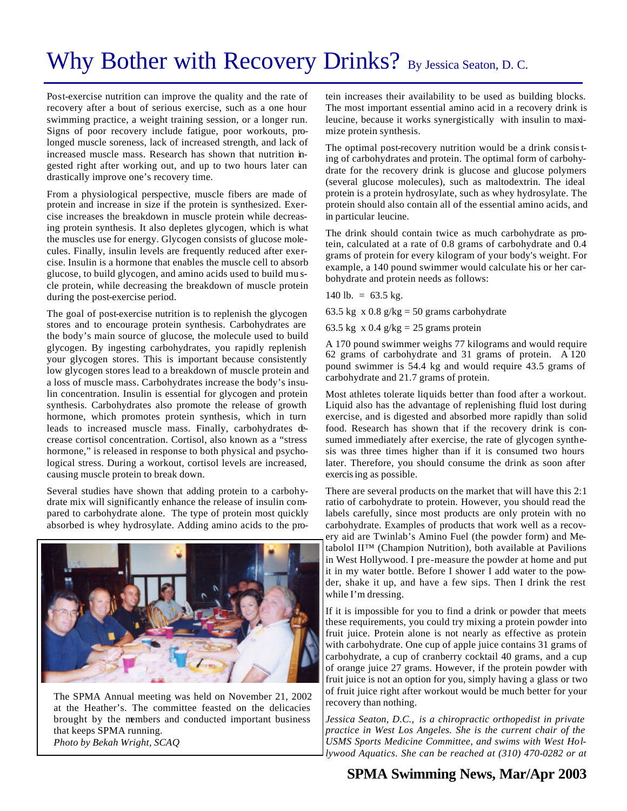# Why Bother with Recovery Drinks? By Jessica Seaton, D. C.

Post-exercise nutrition can improve the quality and the rate of recovery after a bout of serious exercise, such as a one hour swimming practice, a weight training session, or a longer run. Signs of poor recovery include fatigue, poor workouts, prolonged muscle soreness, lack of increased strength, and lack of increased muscle mass. Research has shown that nutrition ingested right after working out, and up to two hours later can drastically improve one's recovery time.

From a physiological perspective, muscle fibers are made of protein and increase in size if the protein is synthesized. Exercise increases the breakdown in muscle protein while decreasing protein synthesis. It also depletes glycogen, which is what the muscles use for energy. Glycogen consists of glucose molecules. Finally, insulin levels are frequently reduced after exercise. Insulin is a hormone that enables the muscle cell to absorb glucose, to build glycogen, and amino acids used to build mu scle protein, while decreasing the breakdown of muscle protein during the post-exercise period.

The goal of post-exercise nutrition is to replenish the glycogen stores and to encourage protein synthesis. Carbohydrates are the body's main source of glucose, the molecule used to build glycogen. By ingesting carbohydrates, you rapidly replenish your glycogen stores. This is important because consistently low glycogen stores lead to a breakdown of muscle protein and a loss of muscle mass. Carbohydrates increase the body's insulin concentration. Insulin is essential for glycogen and protein synthesis. Carbohydrates also promote the release of growth hormone, which promotes protein synthesis, which in turn leads to increased muscle mass. Finally, carbohydrates decrease cortisol concentration. Cortisol, also known as a "stress hormone," is released in response to both physical and psychological stress. During a workout, cortisol levels are increased, causing muscle protein to break down.

Several studies have shown that adding protein to a carbohydrate mix will significantly enhance the release of insulin compared to carbohydrate alone. The type of protein most quickly absorbed is whey hydrosylate. Adding amino acids to the pro-



The SPMA Annual meeting was held on November 21, 2002 at the Heather's. The committee feasted on the delicacies brought by the members and conducted important business that keeps SPMA running. *Photo by Bekah Wright, SCAQ*

tein increases their availability to be used as building blocks. The most important essential amino acid in a recovery drink is leucine, because it works synergistically with insulin to maximize protein synthesis.

The optimal post-recovery nutrition would be a drink consisting of carbohydrates and protein. The optimal form of carbohydrate for the recovery drink is glucose and glucose polymers (several glucose molecules), such as maltodextrin. The ideal protein is a protein hydrosylate, such as whey hydrosylate. The protein should also contain all of the essential amino acids, and in particular leucine.

The drink should contain twice as much carbohydrate as protein, calculated at a rate of 0.8 grams of carbohydrate and 0.4 grams of protein for every kilogram of your body's weight. For example, a 140 pound swimmer would calculate his or her carbohydrate and protein needs as follows:

140 lb. =  $63.5$  kg.

63.5 kg x  $0.8$  g/kg = 50 grams carbohydrate

63.5 kg x 0.4  $g/kg = 25$  grams protein

A 170 pound swimmer weighs 77 kilograms and would require 62 grams of carbohydrate and 31 grams of protein. A 120 pound swimmer is 54.4 kg and would require 43.5 grams of carbohydrate and 21.7 grams of protein.

Most athletes tolerate liquids better than food after a workout. Liquid also has the advantage of replenishing fluid lost during exercise, and is digested and absorbed more rapidly than solid food. Research has shown that if the recovery drink is consumed immediately after exercise, the rate of glycogen synthesis was three times higher than if it is consumed two hours later. Therefore, you should consume the drink as soon after exercising as possible.

There are several products on the market that will have this 2:1 ratio of carbohydrate to protein. However, you should read the labels carefully, since most products are only protein with no carbohydrate. Examples of products that work well as a recovery aid are Twinlab's Amino Fuel (the powder form) and Metabolol II™ (Champion Nutrition), both available at Pavilions in West Hollywood. I pre-measure the powder at home and put it in my water bottle. Before I shower I add water to the powder, shake it up, and have a few sips. Then I drink the rest while I'm dressing.

If it is impossible for you to find a drink or powder that meets these requirements, you could try mixing a protein powder into fruit juice. Protein alone is not nearly as effective as protein with carbohydrate. One cup of apple juice contains 31 grams of carbohydrate, a cup of cranberry cocktail 40 grams, and a cup of orange juice 27 grams. However, if the protein powder with fruit juice is not an option for you, simply having a glass or two of fruit juice right after workout would be much better for your recovery than nothing.

*Jessica Seaton, D.C., is a chiropractic orthopedist in private practice in West Los Angeles. She is the current chair of the USMS Sports Medicine Committee, and swims with West Hollywood Aquatics. She can be reached at (310) 470-0282 or at*